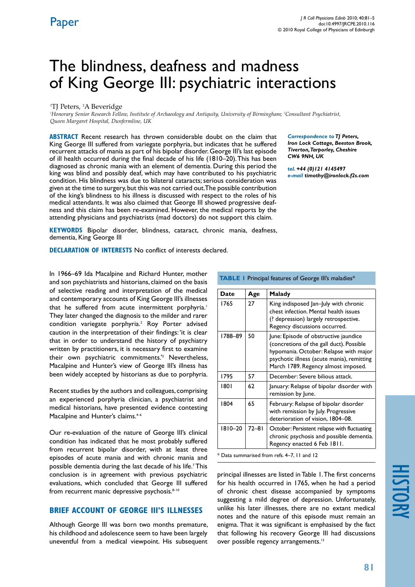# The blindness, deafness and madness of King George III: psychiatric interactions

#### <sup>1</sup>TJ Peters, <sup>2</sup>A Beveridge

*1 Honorary Senior Research Fellow, Institute of Archaeology and Antiquity, University of Birmingham; 2 Consultant Psychiatrist, Queen Margaret Hospital, Dunfermline, UK*

**ABSTRACT** Recent research has thrown considerable doubt on the claim that King George III suffered from variegate porphyria, but indicates that he suffered recurrent attacks of mania as part of his bipolar disorder. George III's last episode of ill health occurred during the final decade of his life (1810–20). This has been diagnosed as chronic mania with an element of dementia. During this period the king was blind and possibly deaf, which may have contributed to his psychiatric condition. His blindness was due to bilateral cataracts; serious consideration was given at the time to surgery, but this was not carried out. The possible contribution of the king's blindness to his illness is discussed with respect to the roles of his medical attendants. It was also claimed that George III showed progressive deafness and this claim has been re-examined. However, the medical reports by the attending physicians and psychiatrists (mad doctors) do not support this claim.

*Correspondence to TJ Peters,* 

*Iron Lock Cottage, Beeston Brook, Tiverton, Tarporley, Cheshire CW6 9NH, UK*

*tel. +44 (0)121 4145497 e-mail timothy@ironlock.f2s.com*

**Keywords** Bipolar disorder, blindness, cataract, chronic mania, deafness, dementia, King George III

**Declaration of Interests** No conflict of interests declared.

In 1966–69 Ida Macalpine and Richard Hunter, mother and son psychiatrists and historians, claimed on the basis of selective reading and interpretation of the medical and contemporary accounts of King George III's illnesses that he suffered from acute intermittent porphyria.<sup>1</sup> They later changed the diagnosis to the milder and rarer condition variegate porphyria.<sup>2</sup> Roy Porter advised caution in the interpretation of their findings: 'it is clear that in order to understand the history of psychiatry written by practitioners, it is necessary first to examine their own psychiatric commitments.'2 Nevertheless, Macalpine and Hunter's view of George III's illness has been widely accepted by historians as due to porphyria.

Recent studies by the authors and colleagues, comprising an experienced porphyria clinician, a psychiatrist and medical historians, have presented evidence contesting Macalpine and Hunter's claims.<sup>4-6</sup>

Our re-evaluation of the nature of George III's clinical condition has indicated that he most probably suffered from recurrent bipolar disorder, with at least three episodes of acute mania and with chronic mania and possible dementia during the last decade of his life.<sup>7</sup> This conclusion is in agreement with previous psychiatric evaluations, which concluded that George III suffered from recurrent manic depressive psychosis.<sup>8-10</sup>

#### **Brief Account of George III's Illnesses**

Although George III was born two months premature, his childhood and adolescence seem to have been largely uneventful from a medical viewpoint. His subsequent

| <b>TABLE I</b> Principal features of George III's maladies* |           |                                                                                                                                                                                                                  |
|-------------------------------------------------------------|-----------|------------------------------------------------------------------------------------------------------------------------------------------------------------------------------------------------------------------|
| Date                                                        | Age       | Malady                                                                                                                                                                                                           |
| 1765                                                        | 27        | King indisposed Jan-July with chronic<br>chest infection. Mental health issues<br>(? depression) largely retrospective.<br>Regency discussions occurred.                                                         |
| 1788-89                                                     | 50        | June: Episode of obstructive jaundice<br>(concretions of the gall duct). Possible<br>hypomania. October: Relapse with major<br>psychotic illness (acute mania), remitting<br>March 1789. Regency almost imposed. |
| 1795                                                        | 57        | December: Severe bilious attack.                                                                                                                                                                                 |
| 1801                                                        | 62        | January: Relapse of bipolar disorder with<br>remission by June.                                                                                                                                                  |
| 1804                                                        | 65        | February: Relapse of bipolar disorder<br>with remission by July. Progressive<br>deterioration of vision, 1804-08.                                                                                                |
| 1810-20                                                     | $72 - 81$ | October: Persistent relapse with fluctuating<br>chronic psychosis and possible dementia.<br>Regency enacted 6 Feb 1811.                                                                                          |

\* Data summarised from refs. 4–7, 11 and 12

principal illnesses are listed in Table 1. The first concerns for his health occurred in 1765, when he had a period of chronic chest disease accompanied by symptoms suggesting a mild degree of depression. Unfortunately, unlike his later illnesses, there are no extant medical notes and the nature of this episode must remain an enigma. That it was significant is emphasised by the fact that following his recovery George III had discussions over possible regency arrangements.<sup>13</sup>

# history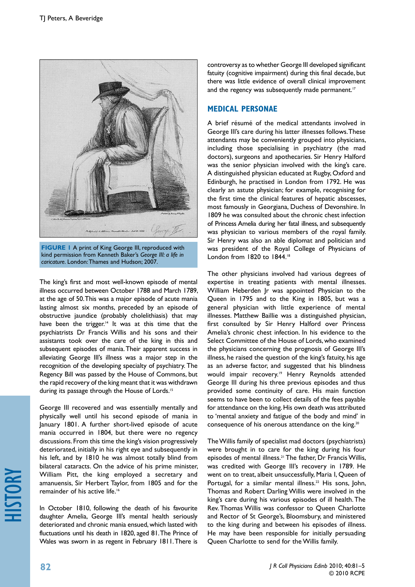

**FIGURE 1** A print of King George III, reproduced with kind permission from Kenneth Baker's *George III: a life in caricature.* London: Thames and Hudson; 2007.

The king's first and most well-known episode of mental illness occurred between October 1788 and March 1789, at the age of 50. This was a major episode of acute mania lasting almost six months, preceded by an episode of obstructive jaundice (probably cholelithiasis) that may have been the trigger.<sup>14</sup> It was at this time that the psychiatrists Dr Francis Willis and his sons and their assistants took over the care of the king in this and subsequent episodes of mania. Their apparent success in alleviating George III's illness was a major step in the recognition of the developing specialty of psychiatry. The Regency Bill was passed by the House of Commons, but the rapid recovery of the king meant that it was withdrawn during its passage through the House of Lords.<sup>15</sup>

George III recovered and was essentially mentally and physically well until his second episode of mania in January 1801. A further short-lived episode of acute mania occurred in 1804, but there were no regency discussions. From this time the king's vision progressively deteriorated, initially in his right eye and subsequently in his left, and by 1810 he was almost totally blind from bilateral cataracts. On the advice of his prime minister, William Pitt, the king employed a secretary and amanuensis, Sir Herbert Taylor, from 1805 and for the remainder of his active life.<sup>16</sup>

In October 1810, following the death of his favourite daughter Amelia, George III's mental health seriously deteriorated and chronic mania ensued, which lasted with fluctuations until his death in 1820, aged 81. The Prince of Wales was sworn in as regent in February 1811. There is

controversy as to whether George III developed significant fatuity (cognitive impairment) during this final decade, but there was little evidence of overall clinical improvement and the regency was subsequently made permanent.<sup>17</sup>

## **Medical Personae**

A brief résumé of the medical attendants involved in George III's care during his latter illnesses follows. These attendants may be conveniently grouped into physicians, including those specialising in psychiatry (the mad doctors), surgeons and apothecaries. Sir Henry Halford was the senior physician involved with the king's care. A distinguished physician educated at Rugby, Oxford and Edinburgh, he practised in London from 1792. He was clearly an astute physician; for example, recognising for the first time the clinical features of hepatic abscesses, most famously in Georgiana, Duchess of Devonshire. In 1809 he was consulted about the chronic chest infection of Princess Amelia during her fatal illness, and subsequently was physician to various members of the royal family. Sir Henry was also an able diplomat and politician and was president of the Royal College of Physicians of London from 1820 to 1844.<sup>18</sup>

The other physicians involved had various degrees of expertise in treating patients with mental illnesses. William Heberden Jr was appointed Physician to the Queen in 1795 and to the King in 1805, but was a general physician with little experience of mental illnesses. Matthew Baillie was a distinguished physician, first consulted by Sir Henry Halford over Princess Amelia's chronic chest infection. In his evidence to the Select Committee of the House of Lords, who examined the physicians concerning the prognosis of George III's illness, he raised the question of the king's fatuity, his age as an adverse factor, and suggested that his blindness would impair recovery.<sup>19</sup> Henry Reynolds attended George III during his three previous episodes and thus provided some continuity of care. His main function seems to have been to collect details of the fees payable for attendance on the king. His own death was attributed to 'mental anxiety and fatigue of the body and mind' in consequence of his onerous attendance on the king.20

The Willis family of specialist mad doctors (psychiatrists) were brought in to care for the king during his four episodes of mental illness.<sup>21</sup> The father, Dr Francis Willis, was credited with George III's recovery in 1789. He went on to treat, albeit unsuccessfully, Maria I, Queen of Portugal, for a similar mental illness.<sup>22</sup> His sons, John, Thomas and Robert Darling Willis were involved in the king's care during his various episodes of ill health. The Rev. Thomas Willis was confessor to Queen Charlotte and Rector of St George's, Bloomsbury, and ministered to the king during and between his episodes of illness. He may have been responsible for initially persuading Queen Charlotte to send for the Willis family.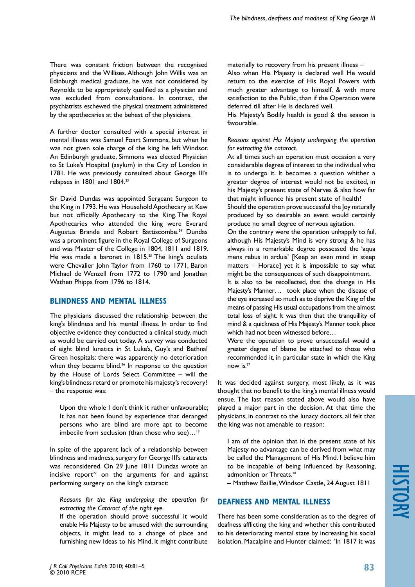There was constant friction between the recognised physicians and the Willises. Although John Willis was an Edinburgh medical graduate, he was not considered by Reynolds to be appropriately qualified as a physician and was excluded from consultations. In contrast, the psychiatrists eschewed the physical treatment administered by the apothecaries at the behest of the physicians.

A further doctor consulted with a special interest in mental illness was Samuel Foart Simmons, but when he was not given sole charge of the king he left Windsor. An Edinburgh graduate, Simmons was elected Physician to St Luke's Hospital (asylum) in the City of London in 1781. He was previously consulted about George III's relapses in 1801 and 1804.23

Sir David Dundas was appointed Sergeant Surgeon to the King in 1793. He was Household Apothecary at Kew but not officially Apothecary to the King.The Royal Apothecaries who attended the king were Everard Augustus Brande and Robert Battiscombe.<sup>24</sup> Dundas was a prominent figure in the Royal College of Surgeons and was Master of the College in 1804, 1811 and 1819. He was made a baronet in 1815.<sup>25</sup> The king's oculists were Chevalier John Taylor from 1760 to 1771, Baron Michael de Wenzell from 1772 to 1790 and Jonathan Wathen Phipps from 1796 to 1814.

# **Blindness and Mental Illness**

The physicians discussed the relationship between the king's blindness and his mental illness. In order to find objective evidence they conducted a clinical study, much as would be carried out today. A survey was conducted of eight blind lunatics in St Luke's, Guy's and Bethnal Green hospitals: there was apparently no deterioration when they became blind.<sup>26</sup> In response to the question by the House of Lords Select Committee – will the king's blindness retard or promote his majesty's recovery? – the response was:

Upon the whole I don't think it rather unfavourable; It has not been found by experience that deranged persons who are blind are more apt to become imbecile from seclusion (than those who see)...<sup>19</sup>

In spite of the apparent lack of a relationship between blindness and madness, surgery for George III's cataracts was reconsidered. On 29 June 1811 Dundas wrote an incisive report<sup>27</sup> on the arguments for and against performing surgery on the king's cataract:

*Reasons for the King undergoing the operation for extracting the Cataract of the right eye.* 

If the operation should prove successful it would enable His Majesty to be amused with the surrounding objects, it might lead to a change of place and furnishing new Ideas to his Mind, it might contribute

materially to recovery from his present illness – Also when His Majesty is declared well He would return to the exercise of His Royal Powers with much greater advantage to himself, & with more satisfaction to the Public, than if the Operation were deferred till after He is declared well.

His Majesty's Bodily health is good & the season is favourable.

*Reasons against His Majesty undergoing the operation for extracting the cataract.*

At all times such an operation must occasion a very considerable degree of interest to the individual who is to undergo it. It becomes a question whither a greater degree of interest would not be excited, in his Majesty's present state of Nerves & also how far that might influence his present state of health!

Should the operation prove successful the Joy naturally produced by so desirable an event would certainly produce no small degree of nervous agitation.

On the contrary were the operation unhappily to fail, although His Majesty's Mind is very strong & he has always in a remarkable degree possessed the 'aqua mens rebus in arduis' [Keep an even mind in steep matters – Horace] yet it is impossible to say what might be the consequences of such disappointment.

It is also to be recollected, that the change in His Majesty's Manner… took place when the disease of the eye increased so much as to deprive the King of the means of passing His usual occupations from the almost total loss of sight. It was then that the tranquillity of mind & a quickness of His Majesty's Manner took place which had not been witnessed before…

Were the operation to prove unsuccessful would a greater degree of blame be attached to those who recommended it, in particular state in which the King now is.27

It was decided against surgery, most likely, as it was thought that no benefit to the king's mental illness would ensue. The last reason stated above would also have played a major part in the decision. At that time the physicians, in contrast to the lunacy doctors, all felt that the king was not amenable to reason:

I am of the opinion that in the present state of his Majesty no advantage can be derived from what may be called the Management of His Mind. I believe him to be incapable of being influenced by Reasoning, admonition or Threats.<sup>28</sup>

– Matthew Baillie, Windsor Castle, 24 August 1811

## **deafness and Mental Illness**

There has been some consideration as to the degree of deafness afflicting the king and whether this contributed to his deteriorating mental state by increasing his social isolation. Macalpine and Hunter claimed: 'In 1817 it was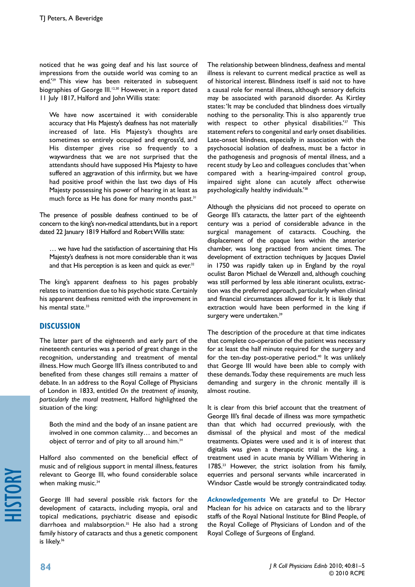noticed that he was going deaf and his last source of impressions from the outside world was coming to an end.'29 This view has been reiterated in subsequent biographies of George III.<sup>12,30</sup> However, in a report dated 11 July 1817, Halford and John Willis state:

We have now ascertained it with considerable accuracy that His Majesty's deafness has not materially increased of late. His Majesty's thoughts are sometimes so entirely occupied and engross'd, and His distemper gives rise so frequently to a waywardness that we are not surprised that the attendants should have supposed His Majesty to have suffered an aggravation of this infirmity, but we have had positive proof within the last two days of His Majesty possessing his power of hearing in at least as much force as He has done for many months past.<sup>31</sup>

The presence of possible deafness continued to be of concern to the king's non-medical attendants, but in a report dated 22 January 1819 Halford and Robert Willis state:

… we have had the satisfaction of ascertaining that His Majesty's deafness is not more considerable than it was and that His perception is as keen and quick as ever.<sup>32</sup>

The king's apparent deafness to his pages probably relates to inattention due to his psychotic state. Certainly his apparent deafness remitted with the improvement in his mental state.<sup>33</sup>

## **Discussion**

The latter part of the eighteenth and early part of the nineteenth centuries was a period of great change in the recognition, understanding and treatment of mental illness. How much George III's illness contributed to and benefited from these changes still remains a matter of debate. In an address to the Royal College of Physicians of London in 1833, entitled *On the treatment of insanity, particularly the moral treatment*, Halford highlighted the situation of the king:

Both the mind and the body of an insane patient are involved in one common calamity… and becomes an object of terror and of pity to all around him.<sup>34</sup>

Halford also commented on the beneficial effect of music and of religious support in mental illness, features relevant to George III, who found considerable solace when making music.<sup>34</sup>

George III had several possible risk factors for the development of cataracts, including myopia, oral and topical medications, psychiatric disease and episodic diarrhoea and malabsorption.<sup>35</sup> He also had a strong family history of cataracts and thus a genetic component is likely.<sup>36</sup>

The relationship between blindness, deafness and mental illness is relevant to current medical practice as well as of historical interest. Blindness itself is said not to have a causal role for mental illness, although sensory deficits may be associated with paranoid disorder. As Kirtley states: 'It may be concluded that blindness does virtually nothing to the personality. This is also apparently true with respect to other physical disabilities.<sup>337</sup> This statement refers to congenital and early onset disabilities. Late-onset blindness, especially in association with the psychosocial isolation of deafness, must be a factor in the pathogenesis and prognosis of mental illness, and a recent study by Leo and colleagues concludes that 'when compared with a hearing-impaired control group, impaired sight alone can acutely affect otherwise psychologically healthy individuals.'38

Although the physicians did not proceed to operate on George III's cataracts, the latter part of the eighteenth century was a period of considerable advance in the surgical management of cataracts. Couching, the displacement of the opaque lens within the anterior chamber, was long practised from ancient times. The development of extraction techniques by Jacques Daviel in 1750 was rapidly taken up in England by the royal oculist Baron Michael de Wenzell and, although couching was still performed by less able itinerant oculists, extraction was the preferred approach, particularly when clinical and financial circumstances allowed for it. It is likely that extraction would have been performed in the king if surgery were undertaken.<sup>39</sup>

The description of the procedure at that time indicates that complete co-operation of the patient was necessary for at least the half minute required for the surgery and for the ten-day post-operative period.<sup>40</sup> It was unlikely that George III would have been able to comply with these demands. Today these requirements are much less demanding and surgery in the chronic mentally ill is almost routine.

It is clear from this brief account that the treatment of George III's final decade of illness was more sympathetic than that which had occurred previously, with the dismissal of the physical and most of the medical treatments. Opiates were used and it is of interest that digitalis was given a therapeutic trial in the king, a treatment used in acute mania by William Withering in 1785.<sup>23</sup> However, the strict isolation from his family, equerries and personal servants while incarcerated in Windsor Castle would be strongly contraindicated today.

*Acknowledgements* We are grateful to Dr Hector Maclean for his advice on cataracts and to the library staffs of the Royal National Institute for Blind People, of the Royal College of Physicians of London and of the Royal College of Surgeons of England.

history

**84**